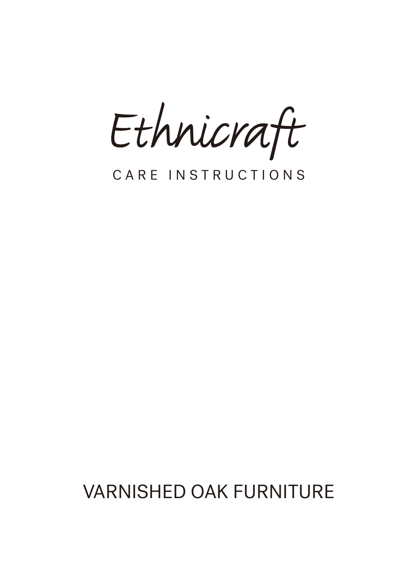Ethnicraft

# CARE INSTRUCTIONS

# VARNISHED OAK FURNITURE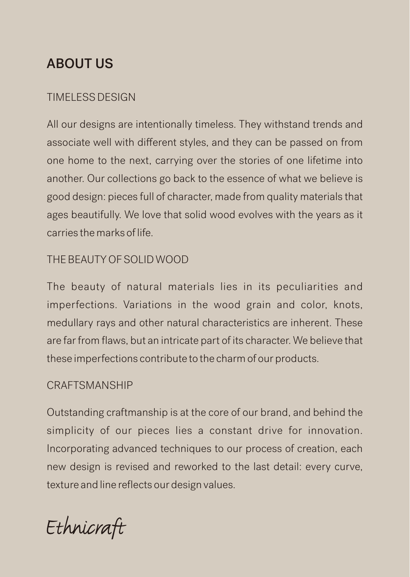### ABOUT US

#### TIMELESS DESIGN

All our designs are intentionally timeless. They withstand trends and associate well with different styles, and they can be passed on from one home to the next, carrying over the stories of one lifetime into another. Our collections go back to the essence of what we believe is good design: pieces full of character, made from quality materials that ages beautifully. We love that solid wood evolves with the years as it carries the marks of life.

#### THE BEAUTY OF SOLID WOOD

The beauty of natural materials lies in its peculiarities and imperfections. Variations in the wood grain and color, knots, medullary rays and other natural characteristics are inherent. These are far from flaws, but an intricate part of its character. We believe that these imperfections contribute to the charm of our products.

#### **CRAFTSMANSHIP**

Outstanding craftmanship is at the core of our brand, and behind the simplicity of our pieces lies a constant drive for innovation. Incorporating advanced techniques to our process of creation, each new design is revised and reworked to the last detail: every curve, texture and line reflects our design values.

Ethnicraft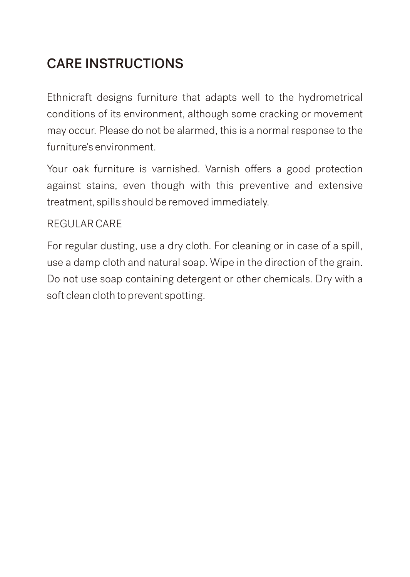# CARE INSTRUCTIONS

Ethnicraft designs furniture that adapts well to the hydrometrical conditions of its environment, although some cracking or movement may occur. Please do not be alarmed, this is a normal response to the furniture's environment.

Your oak furniture is varnished. Varnish offers a good protection against stains, even though with this preventive and extensive treatment, spills should be removed immediately.

#### REGULAR CARE

For regular dusting, use a dry cloth. For cleaning or in case of a spill, use a damp cloth and natural soap. Wipe in the direction of the grain. Do not use soap containing detergent or other chemicals. Dry with a soft clean cloth to prevent spotting.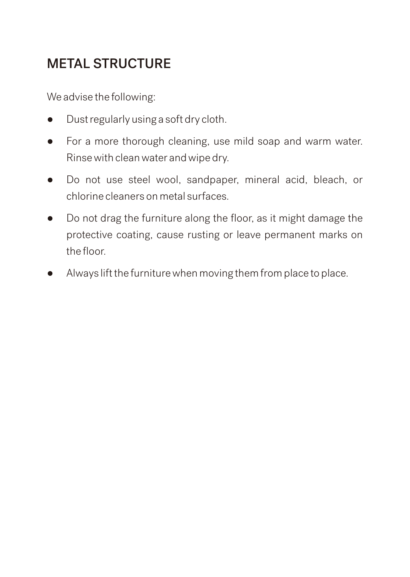# METAL STRUCTURE

We advise the following:

- Dust regularly using a soft dry cloth.
- For a more thorough cleaning, use mild soap and warm water. Rinse with clean water and wipe dry.
- Do not use steel wool, sandpaper, mineral acid, bleach, or chlorine cleaners on metal surfaces.
- Do not drag the furniture along the floor, as it might damage the protective coating, cause rusting or leave permanent marks on the floor
- Always lift the furniture when moving them from place to place.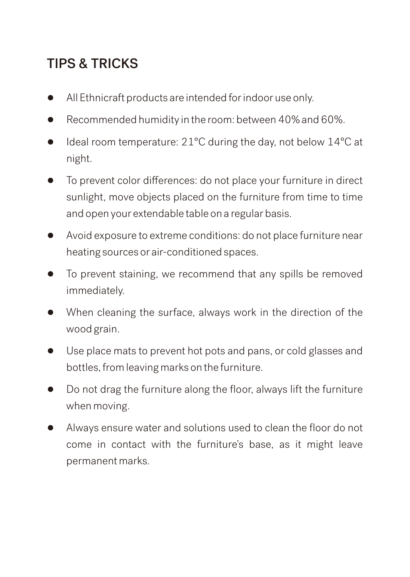# TIPS & TRICKS

- All Ethnicraft products are intended for indoor use only.
- Recommended humidity in the room: between 40% and 60%.
- Ideal room temperature: 21°C during the day, not below 14°C at night.
- To prevent color differences: do not place your furniture in direct sunlight, move objects placed on the furniture from time to time and open your extendable table on a regular basis.
- Avoid exposure to extreme conditions: do not place furniture near heating sources or air-conditioned spaces.
- To prevent staining, we recommend that any spills be removed immediately.
- When cleaning the surface, always work in the direction of the wood grain.
- Use place mats to prevent hot pots and pans, or cold glasses and bottles, from leaving marks on the furniture.
- Do not drag the furniture along the floor, always lift the furniture when moving.
- Always ensure water and solutions used to clean the floor do not come in contact with the furniture's base, as it might leave permanent marks.